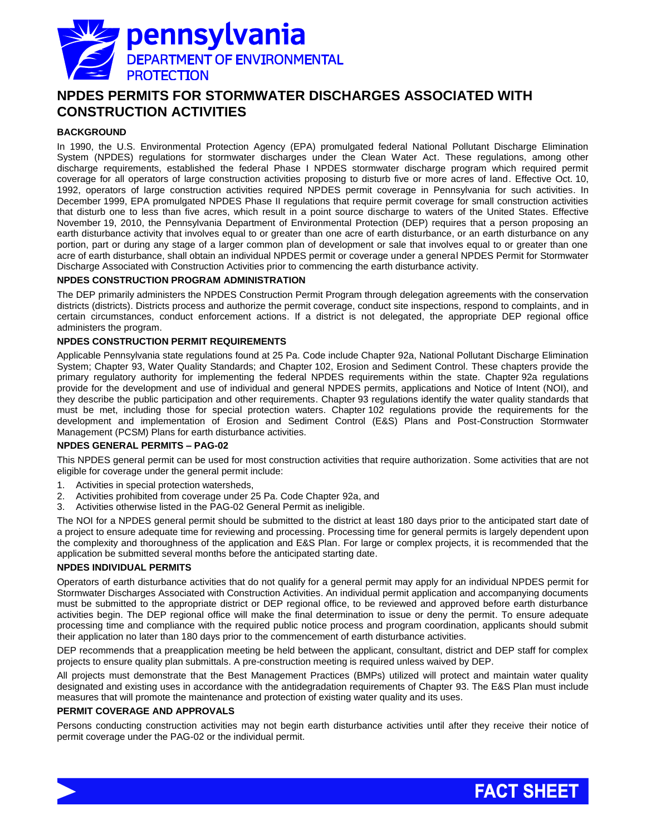

# **NPDES PERMITS FOR STORMWATER DISCHARGES ASSOCIATED WITH CONSTRUCTION ACTIVITIES**

# **BACKGROUND**

In 1990, the U.S. Environmental Protection Agency (EPA) promulgated federal National Pollutant Discharge Elimination System (NPDES) regulations for stormwater discharges under the Clean Water Act. These regulations, among other discharge requirements, established the federal Phase I NPDES stormwater discharge program which required permit coverage for all operators of large construction activities proposing to disturb five or more acres of land. Effective Oct. 10, 1992, operators of large construction activities required NPDES permit coverage in Pennsylvania for such activities. In December 1999, EPA promulgated NPDES Phase II regulations that require permit coverage for small construction activities that disturb one to less than five acres, which result in a point source discharge to waters of the United States. Effective November 19, 2010, the Pennsylvania Department of Environmental Protection (DEP) requires that a person proposing an earth disturbance activity that involves equal to or greater than one acre of earth disturbance, or an earth disturbance on any portion, part or during any stage of a larger common plan of development or sale that involves equal to or greater than one acre of earth disturbance, shall obtain an individual NPDES permit or coverage under a general NPDES Permit for Stormwater Discharge Associated with Construction Activities prior to commencing the earth disturbance activity.

#### **NPDES CONSTRUCTION PROGRAM ADMINISTRATION**

The DEP primarily administers the NPDES Construction Permit Program through delegation agreements with the conservation districts (districts). Districts process and authorize the permit coverage, conduct site inspections, respond to complaints, and in certain circumstances, conduct enforcement actions. If a district is not delegated, the appropriate DEP regional office administers the program.

#### **NPDES CONSTRUCTION PERMIT REQUIREMENTS**

Applicable Pennsylvania state regulations found at 25 Pa. Code include Chapter 92a, National Pollutant Discharge Elimination System; Chapter 93, Water Quality Standards; and Chapter 102, Erosion and Sediment Control. These chapters provide the primary regulatory authority for implementing the federal NPDES requirements within the state. Chapter 92a regulations provide for the development and use of individual and general NPDES permits, applications and Notice of Intent (NOI), and they describe the public participation and other requirements. Chapter 93 regulations identify the water quality standards that must be met, including those for special protection waters. Chapter 102 regulations provide the requirements for the development and implementation of Erosion and Sediment Control (E&S) Plans and Post-Construction Stormwater Management (PCSM) Plans for earth disturbance activities.

#### **NPDES GENERAL PERMITS – PAG-02**

This NPDES general permit can be used for most construction activities that require authorization. Some activities that are not eligible for coverage under the general permit include:

- 1. Activities in special protection watersheds,
- 2. Activities prohibited from coverage under 25 Pa. Code Chapter 92a, and
- 3. Activities otherwise listed in the PAG-02 General Permit as ineligible.

The NOI for a NPDES general permit should be submitted to the district at least 180 days prior to the anticipated start date of a project to ensure adequate time for reviewing and processing. Processing time for general permits is largely dependent upon the complexity and thoroughness of the application and E&S Plan. For large or complex projects, it is recommended that the application be submitted several months before the anticipated starting date.

#### **NPDES INDIVIDUAL PERMITS**

Operators of earth disturbance activities that do not qualify for a general permit may apply for an individual NPDES permit for Stormwater Discharges Associated with Construction Activities. An individual permit application and accompanying documents must be submitted to the appropriate district or DEP regional office, to be reviewed and approved before earth disturbance activities begin. The DEP regional office will make the final determination to issue or deny the permit. To ensure adequate processing time and compliance with the required public notice process and program coordination, applicants should submit their application no later than 180 days prior to the commencement of earth disturbance activities.

DEP recommends that a preapplication meeting be held between the applicant, consultant, district and DEP staff for complex projects to ensure quality plan submittals. A pre-construction meeting is required unless waived by DEP.

All projects must demonstrate that the Best Management Practices (BMPs) utilized will protect and maintain water quality designated and existing uses in accordance with the antidegradation requirements of Chapter 93. The E&S Plan must include measures that will promote the maintenance and protection of existing water quality and its uses.

#### **PERMIT COVERAGE AND APPROVALS**

Persons conducting construction activities may not begin earth disturbance activities until after they receive their notice of permit coverage under the PAG-02 or the individual permit.